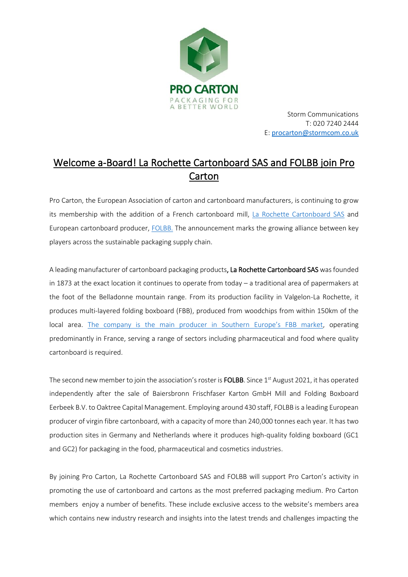

Storm Communications T: 020 7240 2444 E: [procarton@stormcom.co.uk](mailto:procarton@stormcom.co.uk)

# Welcome a-Board! La Rochette Cartonboard SAS and FOLBB join Pro Carton

Pro Carton, the European Association of carton and cartonboard manufacturers, is continuing to grow its membership with the addition of a French cartonboard mill, La Rochette [Cartonboard SAS](https://larochette-cartonboard.com/) and European cartonboard producer, [FOLBB.](https://folbb.com/) The announcement marks the growing alliance between key players across the sustainable packaging supply chain.

A leading manufacturer of cartonboard packaging products, La Rochette Cartonboard SAS was founded in 1873 at the exact location it continues to operate from today – a traditional area of papermakers at the foot of the Belladonne mountain range. From its production facility in Valgelon-La Rochette, it produces multi-layered folding boxboard (FBB), produced from woodchips from within 150km of the local area. [The company is the main producer in Southern Europe's FBB market](https://larochette-cartonboard.com/2021/05/), operating predominantly in France, serving a range of sectors including pharmaceutical and food where quality cartonboard is required.

The second new member to join the association's roster is FOLBB. Since  $1<sup>st</sup>$  August 2021, it has operated independently after the sale of Baiersbronn Frischfaser Karton GmbH Mill and Folding Boxboard Eerbeek B.V. to Oaktree Capital Management. Employing around 430 staff, FOLBB is a leading European producer of virgin fibre cartonboard, with a capacity of more than 240,000 tonnes each year. It has two production sites in Germany and Netherlands where it produces high-quality folding boxboard (GC1 and GC2) for packaging in the food, pharmaceutical and cosmetics industries.

By joining Pro Carton, La Rochette Cartonboard SAS and FOLBB will support Pro Carton's activity in promoting the use of cartonboard and cartons as the most preferred packaging medium. Pro Carton members enjoy a number of benefits. These include exclusive access to the website's members area which contains new industry research and insights into the latest trends and challenges impacting the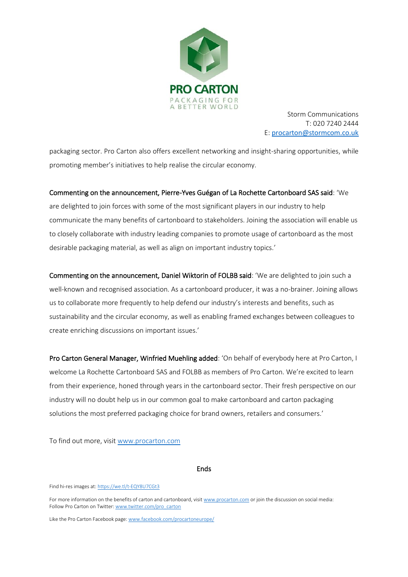

Storm Communications T: 020 7240 2444 E: [procarton@stormcom.co.uk](mailto:procarton@stormcom.co.uk)

packaging sector. Pro Carton also offers excellent networking and insight-sharing opportunities, while promoting member's initiatives to help realise the circular economy.

# Commenting on the announcement, Pierre-Yves Guégan of La Rochette Cartonboard SAS said: 'We

are delighted to join forces with some of the most significant players in our industry to help communicate the many benefits of cartonboard to stakeholders. Joining the association will enable us to closely collaborate with industry leading companies to promote usage of cartonboard as the most desirable packaging material, as well as align on important industry topics.'

Commenting on the announcement, Daniel Wiktorin of FOLBB said: 'We are delighted to join such a well-known and recognised association. As a cartonboard producer, it was a no-brainer. Joining allows us to collaborate more frequently to help defend our industry's interests and benefits, such as sustainability and the circular economy, as well as enabling framed exchanges between colleagues to create enriching discussions on important issues.'

Pro Carton General Manager, Winfried Muehling added: 'On behalf of everybody here at Pro Carton, I welcome La Rochette Cartonboard SAS and FOLBB as members of Pro Carton. We're excited to learn from their experience, honed through years in the cartonboard sector. Their fresh perspective on our industry will no doubt help us in our common goal to make cartonboard and carton packaging solutions the most preferred packaging choice for brand owners, retailers and consumers.'

To find out more, visi[t www.procarton.com](http://www.procarton.com/)

Ends

Find hi-res images at: <https://we.tl/t-EQY8U7CGt3>

For more information on the benefits of carton and cartonboard, visi[t www.procarton.com](http://www.procarton.com/) or join the discussion on social media: Follow Pro Carton on Twitter[: www.twitter.com/pro\\_carton](http://www.twitter.com/pro_carton)

Like the Pro Carton Facebook page[: www.facebook.com/procartoneurope/](https://www.facebook.com/procartoneurope/)